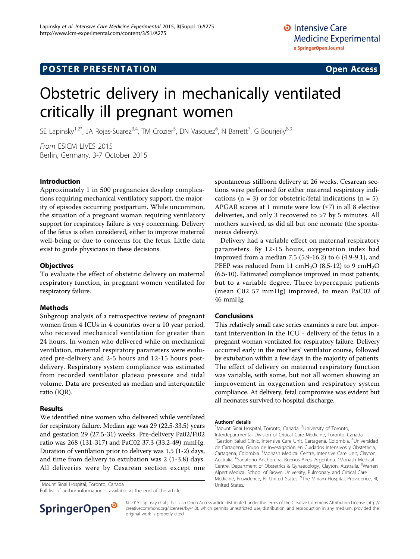## **POSTER PRESENTATION CONSUMING THE SERVICE SERVICE SERVICES**

# Obstetric delivery in mechanically ventilated critically ill pregnant women

SE Lapinsky<sup>1,2\*</sup>, JA Rojas-Suarez<sup>3,4</sup>, TM Crozier<sup>5</sup>, DN Vasquez<sup>6</sup>, N Barrett<sup>7</sup>, G Bourjeily<sup>8,9</sup>

From ESICM LIVES 2015 Berlin, Germany. 3-7 October 2015

#### Introduction

Approximately 1 in 500 pregnancies develop complications requiring mechanical ventilatory support, the majority of episodes occurring postpartum. While uncommon, the situation of a pregnant woman requiring ventilatory support for respiratory failure is very concerning. Delivery of the fetus is often considered, either to improve maternal well-being or due to concerns for the fetus. Little data exist to guide physicians in these decisions.

#### **Objectives**

To evaluate the effect of obstetric delivery on maternal respiratory function, in pregnant women ventilated for respiratory failure.

### Methods

Subgroup analysis of a retrospective review of pregnant women from 4 ICUs in 4 countries over a 10 year period, who received mechanical ventilation for greater than 24 hours. In women who delivered while on mechanical ventilation, maternal respiratory parameters were evaluated pre-delivery and 2-5 hours and 12-15 hours postdelivery. Respiratory system compliance was estimated from recorded ventilator plateau pressure and tidal volume. Data are presented as median and interquartile ratio (IQR).

#### Results

We identified nine women who delivered while ventilated for respiratory failure. Median age was 29 (22.5-33.5) years and gestation 29 (27.5-31) weeks. Pre-delivery Pa02/Fi02 ratio was 268 (131-317) and PaC02 37.3 (33.2-49) mmHg. Duration of ventilation prior to delivery was 1.5 (1-2) days, and time from delivery to extubation was 2 (1-3.8) days. All deliveries were by Cesarean section except one

United States. <sup>1</sup> Mount Sinai Hospital, Toronto, Canada

Full list of author information is available at the end of the article



spontaneous stillborn delivery at 26 weeks. Cesarean sections were performed for either maternal respiratory indications ( $n = 3$ ) or for obstetric/fetal indications ( $n = 5$ ). APGAR scores at 1 minute were low  $(\leq 7)$  in all 8 elective deliveries, and only 3 recovered to >7 by 5 minutes. All mothers survived, as did all but one neonate (the spontaneous delivery).

Delivery had a variable effect on maternal respiratory parameters. By 12-15 hours, oxygenation index had improved from a median 7.5 (5.9-16.2) to 6 (4.9-9.1), and PEEP was reduced from 11 cmH<sub>2</sub>O (8.5-12) to 9 cmH<sub>2</sub>O (6.5-10). Estimated compliance improved in most patients, but to a variable degree. Three hypercapnic patients (mean C02 57 mmHg) improved, to mean PaC02 of 46 mmHg.

#### Conclusions

This relatively small case series examines a rare but important intervention in the ICU - delivery of the fetus in a pregnant woman ventilated for respiratory failure. Delivery occurred early in the mothers' ventilator course, followed by extubation within a few days in the majority of patients. The effect of delivery on maternal respiratory function was variable, with some, but not all women showing an improvement in oxygenation and respiratory system compliance. At delivery, fetal compromise was evident but all neonates survived to hospital discharge.

#### Authors' details <sup>1</sup>

Mount Sinai Hospital, Toronto, Canada. <sup>2</sup>University of Toronto Interdepartmental Division of Critical Care Medicine, Toronto, Canada. <sup>3</sup>Gestion Salud Clinic, Intensive Care Unit, Cartagena, Colombia. <sup>4</sup>Universidad de Cartagena, Grupo de Investigación en Cuidados Intensivos y Obstetricia, Cartagena, Colombia. <sup>5</sup>Monash Medical Centre, Intensive Care Unit, Clayton, Australia. <sup>6</sup>Sanatorio Anchorena, Buenos Aires, Argentina. <sup>7</sup>Monash Medical Centre, Department of Obstetrics & Gynaecology, Clayton, Australia. <sup>8</sup>Warren Alpert Medical School of Brown University, Pulmonary and Critical Care Medicine, Providence, RI, United States. <sup>9</sup>The Miriam Hospital, Providence, RI,

© 2015 Lapinsky et al.; This is an Open Access article distributed under the terms of the Creative Commons Attribution License [\(http://](http://creativecommons.org/licenses/by/4.0) [creativecommons.org/licenses/by/4.0](http://creativecommons.org/licenses/by/4.0)), which permits unrestricted use, distribution, and reproduction in any medium, provided the original work is properly cited.